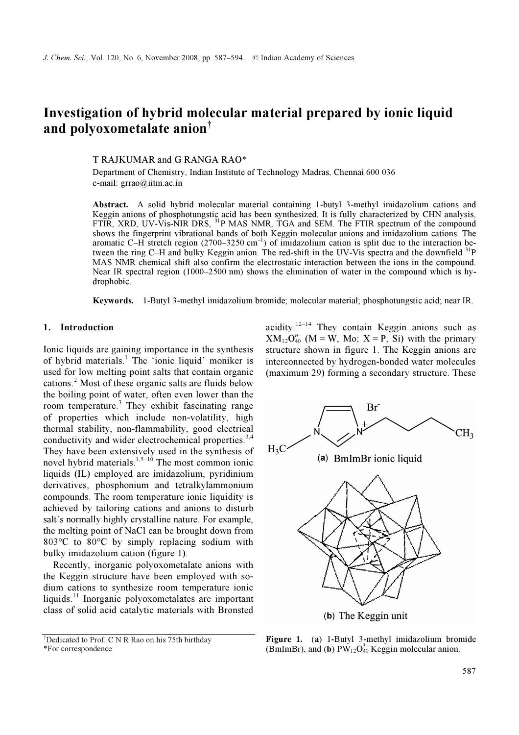# Investigation of hybrid molecular material prepared by ionic liquid and polyoxometalate anion†

T RAJKUMAR and G RANGA RAO\*

Department of Chemistry, Indian Institute of Technology Madras, Chennai 600 036 e-mail: grrao@iitm.ac.in

Abstract. A solid hybrid molecular material containing 1-butyl 3-methyl imidazolium cations and Keggin anions of phosphotungstic acid has been synthesized. It is fully characterized by CHN analysis, FTIR, XRD, UV-Vis-NIR DRS, <sup>31</sup>P MAS NMR, TGA and SEM. The FTIR spectrum of the compound shows the fingerprint vibrational bands of both Keggin molecular anions and imidazolium cations. The aromatic C–H stretch region (2700–3250 cm<sup>-1</sup>) of imidazolium cation is split due to the interaction between the ring C–H and bulky Keggin anion. The red-shift in the UV-Vis spectra and the downfield <sup>31</sup>P MAS NMR chemical shift also confirm the electrostatic interaction between the ions in the compound. Near IR spectral region (1000–2500 nm) shows the elimination of water in the compound which is hydrophobic.

Keywords. 1-Butyl 3-methyl imidazolium bromide; molecular material; phosphotungstic acid; near IR.

#### 1. Introduction

Ionic liquids are gaining importance in the synthesis of hybrid materials.<sup>1</sup> The 'ionic liquid' moniker is used for low melting point salts that contain organic cations.<sup>2</sup> Most of these organic salts are fluids below the boiling point of water, often even lower than the room temperature.<sup>3</sup> They exhibit fascinating range of properties which include non-volatility, high thermal stability, non-flammability, good electrical conductivity and wider electrochemical properties.<sup>3,4</sup> They have been extensively used in the synthesis of novel hybrid materials.<sup>1,5–10</sup> The most common ionic liquids (IL) employed are imidazolium, pyridinium derivatives, phosphonium and tetralkylammonium compounds. The room temperature ionic liquidity is achieved by tailoring cations and anions to disturb salt's normally highly crystalline nature. For example, the melting point of NaCl can be brought down from 803°C to 80°C by simply replacing sodium with bulky imidazolium cation (figure 1).

 Recently, inorganic polyoxometalate anions with the Keggin structure have been employed with sodium cations to synthesize room temperature ionic liquids.<sup>11</sup> Inorganic polyoxometalates are important class of solid acid catalytic materials with Brønsted

acidity.<sup>12–14</sup> They contain Keggin anions such as  $XM_{12}O_{40}^{n-}$  (M = W, Mo; X = P, Si) with the primary structure shown in figure 1. The Keggin anions are interconnected by hydrogen-bonded water molecules (maximum 29) forming a secondary structure. These



Figure 1. (a) 1-Butyl 3-methyl imidazolium bromide (BmImBr), and (b)  $PW_{12}O_{40}^{3-}$  Keggin molecular anion.

<sup>&</sup>lt;sup>†</sup>Dedicated to Prof. C N R Rao on his 75th birthday \*For correspondence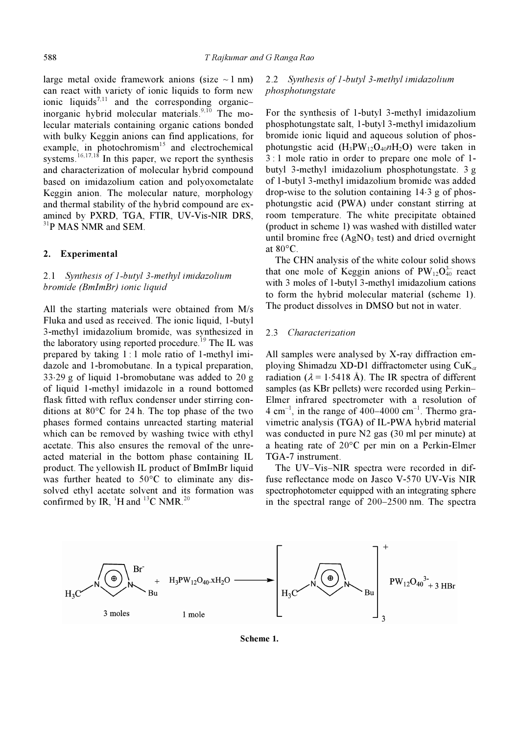large metal oxide framework anions (size  $\sim$  1 nm) can react with variety of ionic liquids to form new ionic liquids<sup>7,11</sup> and the corresponding organicinorganic hybrid molecular materials.<sup>9,10</sup> The molecular materials containing organic cations bonded with bulky Keggin anions can find applications, for example, in photochromism<sup>15</sup> and electrochemical systems.<sup>16,17,18</sup> In this paper, we report the synthesis and characterization of molecular hybrid compound based on imidazolium cation and polyoxometalate Keggin anion. The molecular nature, morphology and thermal stability of the hybrid compound are examined by PXRD, TGA, FTIR, UV-Vis-NIR DRS, <sup>31</sup>P MAS NMR and SEM.

#### 2. Experimental

## 2.1 Synthesis of 1-butyl 3-methyl imidazolium bromide (BmImBr) ionic liquid

All the starting materials were obtained from M/s Fluka and used as received. The ionic liquid, 1-butyl 3-methyl imidazolium bromide, was synthesized in the laboratory using reported procedure.<sup>19</sup> The IL was prepared by taking  $1:1$  mole ratio of 1-methyl imidazole and 1-bromobutane. In a typical preparation, 33⋅29 g of liquid 1-bromobutane was added to 20 g of liquid 1-methyl imidazole in a round bottomed flask fitted with reflux condenser under stirring conditions at 80°C for 24 h. The top phase of the two phases formed contains unreacted starting material which can be removed by washing twice with ethyl acetate. This also ensures the removal of the unreacted material in the bottom phase containing IL product. The yellowish IL product of BmImBr liquid was further heated to 50°C to eliminate any dissolved ethyl acetate solvent and its formation was confirmed by IR,  $^{1}$ H and  $^{13}$ C NMR.<sup>20</sup>

## 2.2 Synthesis of 1-butyl 3-methyl imidazolium phosphotungstate

For the synthesis of 1-butyl 3-methyl imidazolium phosphotungstate salt, 1-butyl 3-methyl imidazolium bromide ionic liquid and aqueous solution of phosphotungstic acid  $(H_3PW_{12}O_{40}nH_2O)$  were taken in 3 : 1 mole ratio in order to prepare one mole of 1 butyl 3-methyl imidazolium phosphotungstate. 3 g of 1-butyl 3-methyl imidazolium bromide was added drop-wise to the solution containing 14⋅3 g of phosphotungstic acid (PWA) under constant stirring at room temperature. The white precipitate obtained (product in scheme 1) was washed with distilled water until bromine free  $(AgNO<sub>3</sub> test)$  and dried overnight at 80°C.

 The CHN analysis of the white colour solid shows that one mole of Keggin anions of  $PW_{12}O_{40}^{3-}$  react with 3 moles of 1-butyl 3-methyl imidazolium cations to form the hybrid molecular material (scheme 1). The product dissolves in DMSO but not in water.

#### 2.3 Characterization

All samples were analysed by X-ray diffraction employing Shimadzu XD-D1 diffractometer using  $\text{CuK}_{\alpha}$ radiation ( $\lambda$  = 1⋅5418 Å). The IR spectra of different samples (as KBr pellets) were recorded using Perkin– Elmer infrared spectrometer with a resolution of  $4 \text{ cm}^{-1}$ , in the range of  $400-4000 \text{ cm}^{-1}$ . Thermo gravimetric analysis (TGA) of IL-PWA hybrid material was conducted in pure N2 gas (30 ml per minute) at a heating rate of 20°C per min on a Perkin-Elmer TGA-7 instrument.

 The UV–Vis–NIR spectra were recorded in diffuse reflectance mode on Jasco V-570 UV-Vis NIR spectrophotometer equipped with an integrating sphere in the spectral range of 200–2500 nm. The spectra



Scheme 1.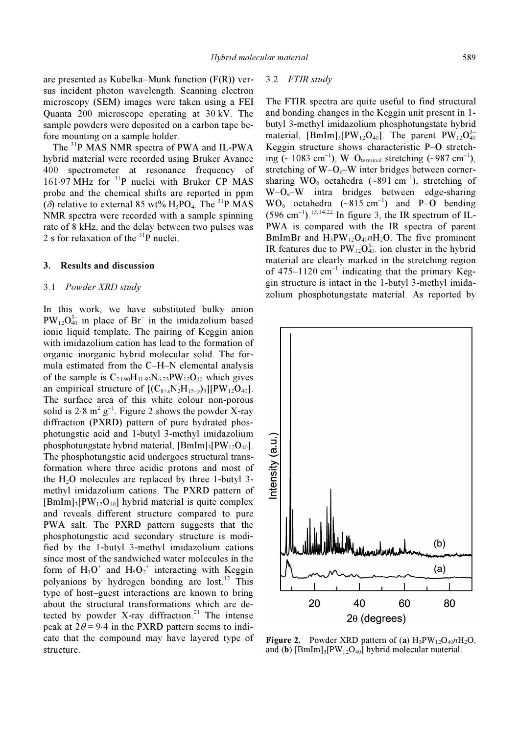are presented as Kubelka–Munk function (F(R)) versus incident photon wavelength. Scanning electron microscopy (SEM) images were taken using a FEI Quanta 200 microscope operating at 30 kV. The sample powders were deposited on a carbon tape before mounting on a sample holder.

 The <sup>31</sup>P MAS NMR spectra of PWA and IL-PWA hybrid material were recorded using Bruker Avance 400 spectrometer at resonance frequency of 161⋅97 MHz for <sup>31</sup>P nuclei with Bruker CP MAS probe and the chemical shifts are reported in ppm ( $\delta$ ) relative to external 85 wt% H<sub>3</sub>PO<sub>4</sub>. The <sup>31</sup>P MAS NMR spectra were recorded with a sample spinning rate of 8 kHz, and the delay between two pulses was 2 s for relaxation of the  $31P$  nuclei.

## 3. Results and discussion

#### 3.1 Powder XRD study

In this work, we have substituted bulky anion  $PW_{12}O_{40}^{3-}$  in place of Br<sup>-</sup> in the imidazolium based ionic liquid template. The pairing of Keggin anion with imidazolium cation has lead to the formation of organic–inorganic hybrid molecular solid. The formula estimated from the C–H–N elemental analysis of the sample is  $C_{24.90}H_{41.93}N_{6.23}PW_{12}O_{40}$  which gives an empirical structure of  $[(C_{8+x}N_2H_{15-y})_3][PW_{12}O_{40}]$ . The surface area of this white colour non-porous solid is  $2.8 \text{ m}^2 \text{ g}^{-1}$ . Figure 2 shows the powder X-ray diffraction (PXRD) pattern of pure hydrated phosphotungstic acid and 1-butyl 3-methyl imidazolium phosphotungstate hybrid material,  $[BmIm]_3[PW_12O_{40}]$ . The phosphotungstic acid undergoes structural transformation where three acidic protons and most of the  $H_2O$  molecules are replaced by three 1-butyl 3methyl imidazolium cations. The PXRD pattern of  $[BmIm]_3[PW_{12}O_{40}]$  hybrid material is quite complex and reveals different structure compared to pure PWA salt. The PXRD pattern suggests that the phosphotungstic acid secondary structure is modified by the 1-butyl 3-methyl imidazolium cations since most of the sandwiched water molecules in the form of  $H_3O^+$  and  $H_5O_2^+$  interacting with Keggin polyanions by hydrogen bonding are lost.<sup>12</sup> This type of host–guest interactions are known to bring about the structural transformations which are detected by powder X-ray diffraction.<sup>21</sup> The intense peak at  $2\theta = 9.4$  in the PXRD pattern seems to indicate that the compound may have layered type of structure.

#### 3.2 FTIR study

The FTIR spectra are quite useful to find structural and bonding changes in the Keggin unit present in 1 butyl 3-methyl imidazolium phosphotungstate hybrid material,  $[\text{BmIm}]_3[\text{PW}_{12}\text{O}_{40}]$ . The parent  $\text{PW}_{12}\text{O}_{40}^{3-}$ Keggin structure shows characteristic P–O stretching (~1083 cm<sup>-1</sup>), W–O<sub>terminal</sub> stretching (~987 cm<sup>-1</sup>), stretching of  $W-O<sub>c</sub>-W$  inter bridges between cornersharing  $WO_6$  octahedra (~891 cm<sup>-1</sup>), stretching of  $W-O<sub>e</sub>-W$  intra bridges between edge-sharing  $WO<sub>6</sub> octahedra (~815 cm<sup>-1</sup>)$  and P–O bending  $(596 \text{ cm}^{-1})$ .<sup>13,14,22</sup> In figure 3, the IR spectrum of IL-PWA is compared with the IR spectra of parent BmImBr and  $H_3PW_{12}O_{40}nH_2O$ . The five prominent IR features due to  $PW_{12}O_{40}^{3-}$  ion cluster in the hybrid material are clearly marked in the stretching region of  $475-1120$  cm<sup>-1</sup> indicating that the primary Keggin structure is intact in the 1-butyl 3-methyl imidazolium phosphotungstate material. As reported by



**Figure 2.** Powder XRD pattern of (a)  $H_3PW_12O_40nH_2O$ , and (b)  $[BmIm]_3[PW_{12}O_{40}]$  hybrid molecular material.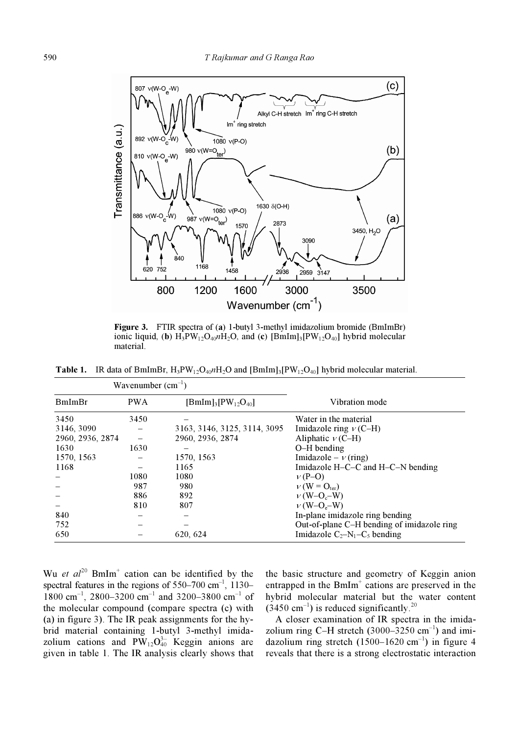

Figure 3. FTIR spectra of (a) 1-butyl 3-methyl imidazolium bromide (BmImBr) ionic liquid, (b)  $H_3PW_{12}O_{40}nH_2O$ , and (c)  $[BmIm]_3[PW_{12}O_{40}]$  hybrid molecular material.

**Table 1.** IR data of BmImBr,  $H_3PW_{12}O_{40}nH_2O$  and  $[BmIm]_3[PW_{12}O_{40}]$  hybrid molecular material.

| Wavenumber $(cm^{-1})$ |            |                              |                                            |
|------------------------|------------|------------------------------|--------------------------------------------|
| BmImBr                 | <b>PWA</b> | $[BmIm]_3[PW_{12}O_{40}]$    | Vibration mode                             |
| 3450                   | 3450       |                              | Water in the material                      |
| 3146, 3090             |            | 3163, 3146, 3125, 3114, 3095 | Imidazole ring $v$ (C-H)                   |
| 2960, 2936, 2874       |            | 2960, 2936, 2874             | Aliphatic $v$ (C-H)                        |
| 1630                   | 1630       |                              | $O-H$ bending                              |
| 1570, 1563             |            | 1570, 1563                   | Imidazole – $\nu$ (ring)                   |
| 1168                   |            | 1165                         | Imidazole $H-C-C$ and $H-C-N$ bending      |
|                        | 1080       | 1080                         | $v(P-O)$                                   |
|                        | 987        | 980                          | $V(W = O_{\text{ter}})$                    |
|                        | 886        | 892                          | $V(W-Oc-W)$                                |
|                        | 810        | 807                          | $V(W-O_e-W)$                               |
| 840                    |            |                              | In-plane imidazole ring bending            |
| 752                    |            |                              | Out-of-plane C-H bending of imidazole ring |
| 650                    |            | 620, 624                     | Imidazole $C_2-N_1-C_5$ bending            |

Wu et  $al^{20}$  BmIm<sup>+</sup> cation can be identified by the spectral features in the regions of  $550-700$  cm<sup>-1</sup>,  $1130-$ 1800 cm<sup>-1</sup>, 2800–3200 cm<sup>-1</sup> and 3200–3800 cm<sup>-1</sup> of the molecular compound (compare spectra (c) with (a) in figure 3). The IR peak assignments for the hybrid material containing 1-butyl 3-methyl imidazolium cations and  $PW_{12}O_{40}^{3-}$  Keggin anions are given in table 1. The IR analysis clearly shows that

the basic structure and geometry of Keggin anion entrapped in the BmIm<sup>+</sup> cations are preserved in the hybrid molecular material but the water content  $(3450 \text{ cm}^{-1})$  is reduced significantly.<sup>20</sup>

 A closer examination of IR spectra in the imidazolium ring C–H stretch  $(3000-3250 \text{ cm}^{-1})$  and imidazolium ring stretch  $(1500-1620 \text{ cm}^{-1})$  in figure 4 reveals that there is a strong electrostatic interaction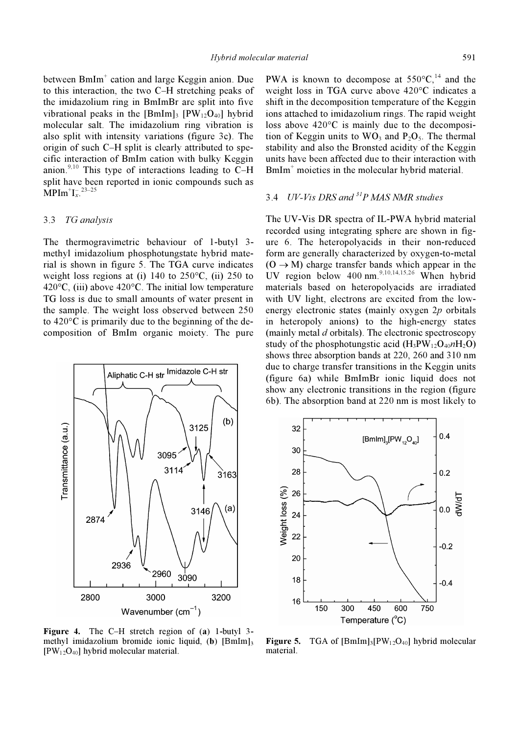between BmIm<sup>+</sup> cation and large Keggin anion. Due to this interaction, the two C–H stretching peaks of the imidazolium ring in BmImBr are split into five vibrational peaks in the  $[BmIm]_3$   $[PW_{12}O_{40}]$  hybrid molecular salt. The imidazolium ring vibration is also split with intensity variations (figure 3c). The origin of such C–H split is clearly attributed to specific interaction of BmIm cation with bulky Keggin anion.<sup>9,10</sup> This type of interactions leading to  $\overline{C}-H$ split have been reported in ionic compounds such as  $\text{MPIm}^{\dagger} \text{I}_{x}^{\text{-}23-25}$ 

#### 3.3 TG analysis

The thermogravimetric behaviour of 1-butyl 3 methyl imidazolium phosphotungstate hybrid material is shown in figure 5. The TGA curve indicates weight loss regions at (i) 140 to  $250^{\circ}$ C, (ii) 250 to 420 $\rm{^{\circ}C}$ , (iii) above 420 $\rm{^{\circ}C}$ . The initial low temperature TG loss is due to small amounts of water present in the sample. The weight loss observed between 250 to 420°C is primarily due to the beginning of the decomposition of BmIm organic moiety. The pure



Figure 4. The C–H stretch region of (a) 1-butyl 3 methyl imidazolium bromide ionic liquid, (b)  $[BmIm]_3$  $[PW<sub>12</sub>O<sub>40</sub>]$  hybrid molecular material.

PWA is known to decompose at  $550^{\circ}C$ , <sup>14</sup> and the weight loss in TGA curve above 420°C indicates a shift in the decomposition temperature of the Keggin ions attached to imidazolium rings. The rapid weight loss above 420°C is mainly due to the decomposition of Keggin units to  $WO_3$  and  $P_2O_5$ . The thermal stability and also the Bronsted acidity of the Keggin units have been affected due to their interaction with BmIm<sup>+</sup> moieties in the molecular hybrid material.

## 3.4 UV-Vis DRS and  ${}^{31}P$  MAS NMR studies

The UV-Vis DR spectra of IL-PWA hybrid material recorded using integrating sphere are shown in figure 6. The heteropolyacids in their non-reduced form are generally characterized by oxygen-to-metal  $(0 \rightarrow M)$  charge transfer bands which appear in the UV region below  $400 \text{ nm}^{9,10,14,15,26}$  When hybrid materials based on heteropolyacids are irradiated with UV light, electrons are excited from the lowenergy electronic states (mainly oxygen  $2p$  orbitals in heteropoly anions) to the high-energy states (mainly metal  $d$  orbitals). The electronic spectroscopy study of the phosphotungstic acid  $(H_3PW_{12}O_{40}nH_2O)$ shows three absorption bands at 220, 260 and 310 nm due to charge transfer transitions in the Keggin units (figure 6a) while BmImBr ionic liquid does not show any electronic transitions in the region (figure 6b). The absorption band at 220 nm is most likely to



**Figure 5.** TGA of  $[BmIm]_3[PW_{12}O_{40}]$  hybrid molecular material.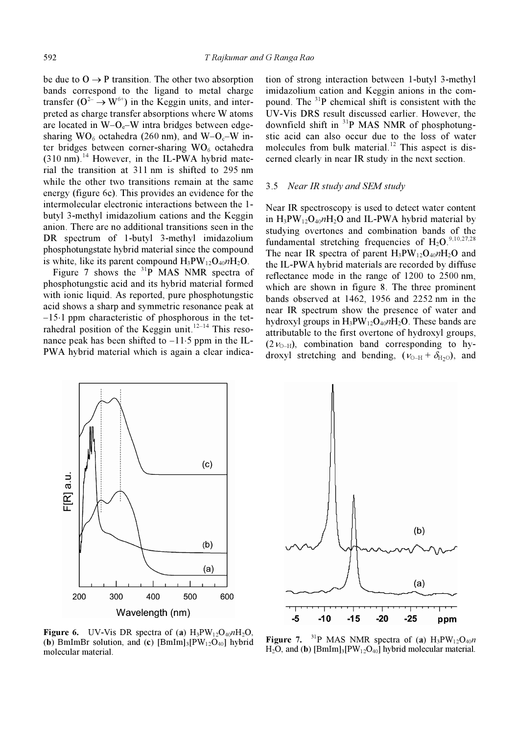be due to  $O \rightarrow P$  transition. The other two absorption bands correspond to the ligand to metal charge transfer  $(O^{2-} \rightarrow W^{6+})$  in the Keggin units, and interpreted as charge transfer absorptions where W atoms are located in  $W$ – $O_e$ – $W$  intra bridges between edgesharing  $WO_6$  octahedra (260 nm), and  $W-O_6-W$  inter bridges between corner-sharing  $WO_6$  octahedra  $(310 \text{ nm})$ .<sup>14</sup> However, in the IL-PWA hybrid material the transition at 311 nm is shifted to 295 nm while the other two transitions remain at the same energy (figure 6c). This provides an evidence for the intermolecular electronic interactions between the 1 butyl 3-methyl imidazolium cations and the Keggin anion. There are no additional transitions seen in the DR spectrum of 1-butyl 3-methyl imidazolium phosphotungstate hybrid material since the compound is white, like its parent compound  $H_3PW_{12}O_{40}nH_2O$ .

Figure 7 shows the  $31P$  MAS NMR spectra of phosphotungstic acid and its hybrid material formed with ionic liquid. As reported, pure phosphotungstic acid shows a sharp and symmetric resonance peak at –15⋅1 ppm characteristic of phosphorous in the tetrahedral position of the Keggin unit.<sup>12–14</sup> This resonance peak has been shifted to –11⋅5 ppm in the IL-PWA hybrid material which is again a clear indication of strong interaction between 1-butyl 3-methyl imidazolium cation and Keggin anions in the compound. The  $3^{31}P$  chemical shift is consistent with the UV-Vis DRS result discussed earlier. However, the downfield shift in <sup>31</sup>P MAS NMR of phosphotungstic acid can also occur due to the loss of water molecules from bulk material.<sup>12</sup> This aspect is discerned clearly in near IR study in the next section.

#### 3.5 Near IR study and SEM study

Near IR spectroscopy is used to detect water content in  $H_3PW_{12}O_{40}nH_2O$  and IL-PWA hybrid material by studying overtones and combination bands of the fundamental stretching frequencies of  $H_2O$ <sup>9,10,27,28</sup> The near IR spectra of parent  $H_3PW_{12}O_{40}nH_2O$  and the IL-PWA hybrid materials are recorded by diffuse reflectance mode in the range of 1200 to 2500 nm, which are shown in figure 8. The three prominent bands observed at 1462, 1956 and 2252 nm in the near IR spectrum show the presence of water and hydroxyl groups in  $H_3PW_{12}O_{40}nH_2O$ . These bands are attributable to the first overtone of hydroxyl groups,  $(2v_{O-H})$ , combination band corresponding to hydroxyl stretching and bending,  $(v_{O-H} + \delta_{H_2O})$ , and



**Figure 6.** UV-Vis DR spectra of (a)  $H_3PW_{12}O_{40}nH_2O$ , (b) BmImBr solution, and (c)  $[BmIm]_3[PW_{12}O_{40}]$  hybrid molecular material.



Figure 7. <sup>31</sup>P MAS NMR spectra of (a)  $H_3PW_{12}O_{40}n$ H<sub>2</sub>O, and (b)  $[BmIm]_3[PW_{12}O_{40}]$  hybrid molecular material.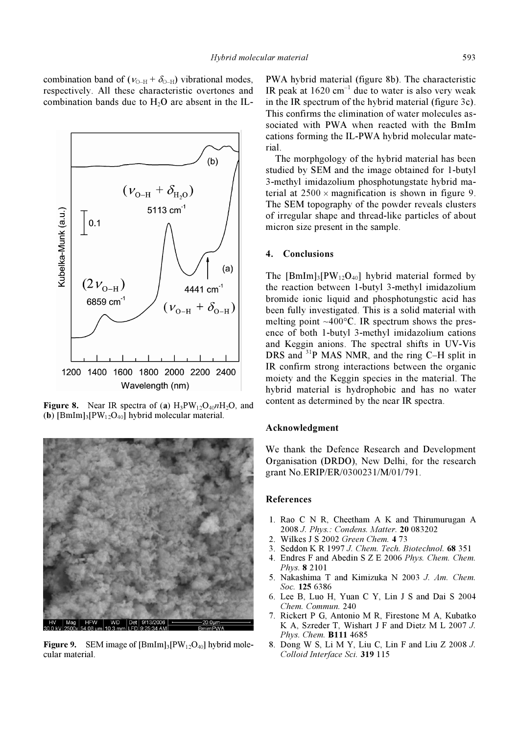combination band of ( $v_{O-H} + \delta_{O-H}$ ) vibrational modes, respectively. All these characteristic overtones and combination bands due to  $H<sub>2</sub>O$  are absent in the IL-



**Figure 8.** Near IR spectra of (a)  $H_3PW_{12}O_{40}nH_2O$ , and (b)  $[BmIm]_3[PW_{12}O_{40}]$  hybrid molecular material.



**Figure 9.** SEM image of  $\text{[BmIm]}_3\text{[PW]}_2\text{O}_{40}$  hybrid molecular material.

PWA hybrid material (figure 8b). The characteristic IR peak at  $1620 \text{ cm}^{-1}$  due to water is also very weak in the IR spectrum of the hybrid material (figure 3c). This confirms the elimination of water molecules associated with PWA when reacted with the BmIm cations forming the IL-PWA hybrid molecular material.

 The morphgology of the hybrid material has been studied by SEM and the image obtained for 1-butyl 3-methyl imidazolium phosphotungstate hybrid material at  $2500 \times$  magnification is shown in figure 9. The SEM topography of the powder reveals clusters of irregular shape and thread-like particles of about micron size present in the sample.

## 4. Conclusions

The  $[BmIm]_3[PW_{12}O_{40}]$  hybrid material formed by the reaction between 1-butyl 3-methyl imidazolium bromide ionic liquid and phosphotungstic acid has been fully investigated. This is a solid material with melting point  $~100^{\circ}$ C. IR spectrum shows the presence of both 1-butyl 3-methyl imidazolium cations and Keggin anions. The spectral shifts in UV-Vis DRS and <sup>31</sup>P MAS NMR, and the ring C–H split in IR confirm strong interactions between the organic moiety and the Keggin species in the material. The hybrid material is hydrophobic and has no water content as determined by the near IR spectra.

## Acknowledgment

We thank the Defence Research and Development Organisation (DRDO), New Delhi, for the research grant No.ERIP/ER/0300231/M/01/791.

#### References

- 1. Rao C N R, Cheetham A K and Thirumurugan A 2008 J. Phys.: Condens. Matter. 20 083202
- 2. Wilkes J S 2002 Green Chem. 4 73
- 3. Seddon K R 1997 J. Chem. Tech. Biotechnol. 68 351
- 4. Endres F and Abedin S Z E 2006 Phys. Chem. Chem. Phys. 8 2101
- 5. Nakashima T and Kimizuka N 2003 J. Am. Chem. Soc. 125 6386
- 6. Lee B, Luo H, Yuan C Y, Lin J S and Dai S 2004 Chem. Commun. 240
- 7. Rickert P G, Antonio M R, Firestone M A, Kubatko K A, Szreder T, Wishart J F and Dietz M L 2007 J. Phys. Chem. **B111** 4685
- 8. Dong W S, Li M Y, Liu C, Lin F and Liu Z 2008 J. Colloid Interface Sci. 319 115